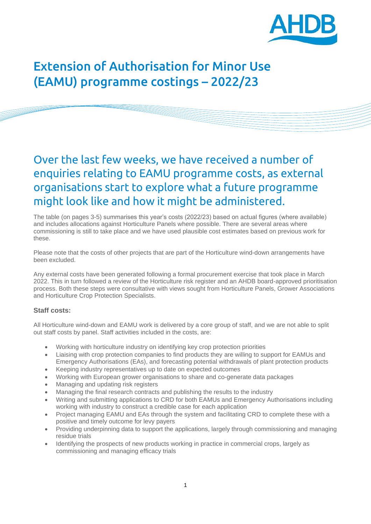

# Extension of Authorisation for Minor Use (EAMU) programme costings – 2022/23

## Over the last few weeks, we have received a number of enquiries relating to EAMU programme costs, as external organisations start to explore what a future programme might look like and how it might be administered.

The table (on pages 3-5) summarises this year's costs (2022/23) based on actual figures (where available) and includes allocations against Horticulture Panels where possible. There are several areas where commissioning is still to take place and we have used plausible cost estimates based on previous work for these.

Please note that the costs of other projects that are part of the Horticulture wind-down arrangements have been excluded.

Any external costs have been generated following a formal procurement exercise that took place in March 2022. This in turn followed a review of the Horticulture risk register and an AHDB board-approved prioritisation process. Both these steps were consultative with views sought from Horticulture Panels, Grower Associations and Horticulture Crop Protection Specialists.

### **Staff costs:**

All Horticulture wind-down and EAMU work is delivered by a core group of staff, and we are not able to split out staff costs by panel. Staff activities included in the costs, are:

- Working with horticulture industry on identifying key crop protection priorities
- Liaising with crop protection companies to find products they are willing to support for EAMUs and Emergency Authorisations (EAs), and forecasting potential withdrawals of plant protection products
- Keeping industry representatives up to date on expected outcomes
- Working with European grower organisations to share and co-generate data packages
- Managing and updating risk registers
- Managing the final research contracts and publishing the results to the industry
- Writing and submitting applications to CRD for both EAMUs and Emergency Authorisations including working with industry to construct a credible case for each application
- Project managing EAMU and EAs through the system and facilitating CRD to complete these with a positive and timely outcome for levy payers
- Providing underpinning data to support the applications, largely through commissioning and managing residue trials
- Identifying the prospects of new products working in practice in commercial crops, largely as commissioning and managing efficacy trials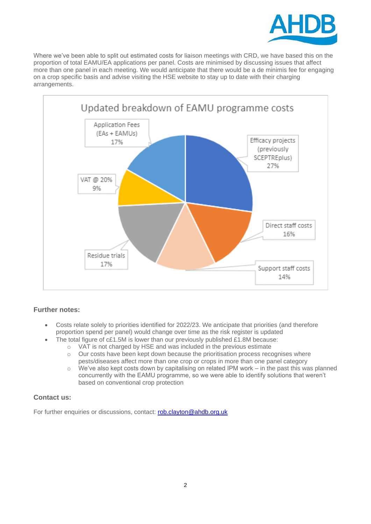

Where we've been able to split out estimated costs for liaison meetings with CRD, we have based this on the proportion of total EAMU/EA applications per panel. Costs are minimised by discussing issues that affect more than one panel in each meeting. We would anticipate that there would be a de minimis fee for engaging on a crop specific basis and advise visiting the HSE website to stay up to date with their charging arrangements.



### **Further notes:**

- Costs relate solely to priorities identified for 2022/23. We anticipate that priorities (and therefore proportion spend per panel) would change over time as the risk register is updated
	- The total figure of c£1.5M is lower than our previously published £1.8M because:
		- o VAT is not charged by HSE and was included in the previous estimate
		- $\circ$  Our costs have been kept down because the prioritisation process recognises where pests/diseases affect more than one crop or crops in more than one panel category
		- $\circ$  We've also kept costs down by capitalising on related IPM work in the past this was planned concurrently with the EAMU programme, so we were able to identify solutions that weren't based on conventional crop protection

### **Contact us:**

For further enquiries or discussions, contact: [rob.clayton@ahdb.org.uk](mailto:rob.clayton@ahdb.org.uk)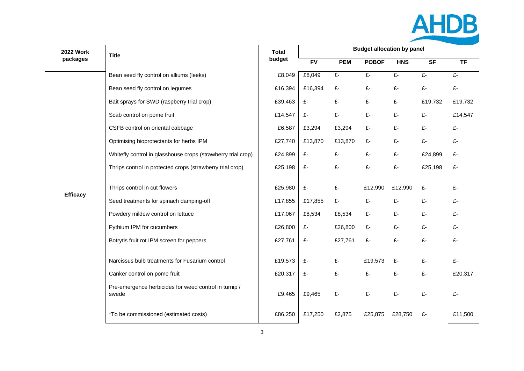

| <b>2022 Work</b> | <b>Title</b>                                                                                                                                                                                                                                                                                                                       | <b>Total</b>                                                              | <b>Budget allocation by panel</b>               |                                                      |                                                  |                                             |                                        |                                             |
|------------------|------------------------------------------------------------------------------------------------------------------------------------------------------------------------------------------------------------------------------------------------------------------------------------------------------------------------------------|---------------------------------------------------------------------------|-------------------------------------------------|------------------------------------------------------|--------------------------------------------------|---------------------------------------------|----------------------------------------|---------------------------------------------|
| packages         | budget                                                                                                                                                                                                                                                                                                                             |                                                                           | <b>FV</b>                                       | <b>PEM</b>                                           | <b>POBOF</b>                                     | <b>HNS</b>                                  | <b>SF</b>                              | <b>TF</b>                                   |
|                  | Bean seed fly control on alliums (leeks)                                                                                                                                                                                                                                                                                           | £8,049                                                                    | £8,049                                          | £-                                                   | £-                                               | £-                                          | £-                                     | £-                                          |
|                  | Bean seed fly control on legumes                                                                                                                                                                                                                                                                                                   | £16,394                                                                   | £16,394                                         | £-                                                   | £-                                               | £-                                          | £-                                     | £-                                          |
|                  | Bait sprays for SWD (raspberry trial crop)                                                                                                                                                                                                                                                                                         | £39,463                                                                   | £-                                              | £-                                                   | £-                                               | £-                                          | £19,732                                | £19,732                                     |
|                  | Scab control on pome fruit                                                                                                                                                                                                                                                                                                         | £14,547                                                                   | £-                                              | $\pounds$ -                                          | £-                                               | £-                                          | £-                                     | £14,547                                     |
|                  | CSFB control on oriental cabbage                                                                                                                                                                                                                                                                                                   | £6,587                                                                    | £3,294                                          | £3,294                                               | £-                                               | £-                                          | £-                                     | £-                                          |
|                  | Optimising bioprotectants for herbs IPM                                                                                                                                                                                                                                                                                            | £27,740                                                                   | £13,870                                         | £13,870                                              | £-                                               | £-                                          | £-                                     | £-                                          |
|                  | Whitefly control in glasshouse crops (strawberry trial crop)                                                                                                                                                                                                                                                                       | £24,899                                                                   | £-                                              | £-                                                   | £-                                               | £-                                          | £24,899                                | £-                                          |
|                  | Thrips control in protected crops (strawberry trial crop)                                                                                                                                                                                                                                                                          | £25,198                                                                   | £-                                              | £-                                                   | £-                                               | £-                                          | £25,198                                | £-                                          |
| <b>Efficacy</b>  | Thrips control in cut flowers<br>Seed treatments for spinach damping-off<br>Powdery mildew control on lettuce<br>Pythium IPM for cucumbers<br>Botrytis fruit rot IPM screen for peppers<br>Narcissus bulb treatments for Fusarium control<br>Canker control on pome fruit<br>Pre-emergence herbicides for weed control in turnip / | £25,980<br>£17,855<br>£17,067<br>£26,800<br>£27,761<br>£19,573<br>£20,317 | £-<br>£17,855<br>£8,534<br>£-<br>£-<br>£-<br>£- | £-<br>£-<br>£8,534<br>£26,800<br>£27,761<br>£-<br>£- | £12,990<br>£-<br>£-<br>£-<br>£-<br>£19,573<br>£- | £12,990<br>£-<br>£-<br>£-<br>£-<br>£-<br>£- | £-<br>£-<br>£-<br>£-<br>£-<br>£-<br>£- | £-<br>£-<br>£-<br>£-<br>£-<br>£-<br>£20,317 |
|                  | swede                                                                                                                                                                                                                                                                                                                              | £9,465                                                                    | £9,465                                          | £-                                                   | £-                                               | £-                                          | £-                                     | £-                                          |
|                  | *To be commissioned (estimated costs)                                                                                                                                                                                                                                                                                              | £86,250                                                                   | £17,250                                         | £2,875                                               | £25,875                                          | £28,750                                     | £-                                     | £11,500                                     |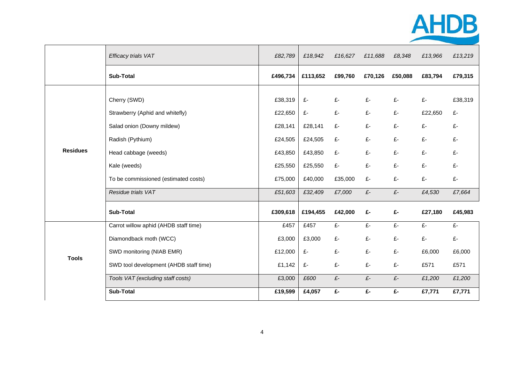

|                  | Efficacy trials VAT                                                                                                                                                               | £82,789                                                                   | £18,942                                                         | £16,627                                     | £11,688                                | £8,348                                 | £13,966                                     | £13,219                                     |
|------------------|-----------------------------------------------------------------------------------------------------------------------------------------------------------------------------------|---------------------------------------------------------------------------|-----------------------------------------------------------------|---------------------------------------------|----------------------------------------|----------------------------------------|---------------------------------------------|---------------------------------------------|
| <b>Sub-Total</b> |                                                                                                                                                                                   | £496,734                                                                  | £113,652                                                        | £99,760                                     | £70,126                                | £50,088                                | £83,794                                     | £79,315                                     |
| <b>Residues</b>  | Cherry (SWD)<br>Strawberry (Aphid and whitefly)<br>Salad onion (Downy mildew)<br>Radish (Pythium)<br>Head cabbage (weeds)<br>Kale (weeds)<br>To be commissioned (estimated costs) | £38,319<br>£22,650<br>£28,141<br>£24,505<br>£43,850<br>£25,550<br>£75,000 | £-<br>£-<br>£28,141<br>£24,505<br>£43,850<br>£25,550<br>£40,000 | £-<br>£-<br>£-<br>£-<br>£-<br>£-<br>£35,000 | £-<br>£-<br>£-<br>£-<br>£-<br>£-<br>£- | £-<br>£-<br>£-<br>£-<br>£-<br>£-<br>£- | £-<br>£22,650<br>£-<br>£-<br>£-<br>£-<br>£- | £38,319<br>£-<br>£-<br>£-<br>£-<br>£-<br>£- |
|                  | Residue trials VAT                                                                                                                                                                | £51,603                                                                   | £32,409                                                         | £7,000                                      | $\pounds$                              | $\pounds$ -                            | £4,530                                      | £7,664                                      |
|                  | <b>Sub-Total</b>                                                                                                                                                                  | £309,618                                                                  | £194,455                                                        | £42,000                                     | £-                                     | £-                                     | £27,180                                     | £45,983                                     |
|                  | Carrot willow aphid (AHDB staff time)<br>Diamondback moth (WCC)                                                                                                                   | £457<br>£3,000                                                            | £457<br>£3,000                                                  | £-<br>£-                                    | £-<br>£-                               | £-<br>£-                               | £-<br>£-                                    | £-<br>£-                                    |
| <b>Tools</b>     | SWD monitoring (NIAB EMR)                                                                                                                                                         | £12,000                                                                   | $E-$                                                            | £-                                          | £-                                     | £-                                     | £6,000                                      | £6,000                                      |
|                  | SWD tool development (AHDB staff time)                                                                                                                                            | £1,142                                                                    | £-                                                              | £-                                          | £-                                     | £-                                     | £571                                        | £571                                        |
|                  | Tools VAT (excluding staff costs)                                                                                                                                                 | £3,000                                                                    | £600                                                            | $E-$                                        | $\pounds$ -                            | $\pounds \text{-}$                     | £1,200                                      | £1,200                                      |
|                  | <b>Sub-Total</b>                                                                                                                                                                  | £19,599                                                                   | £4,057                                                          | £-                                          | £-                                     | £-                                     | £7,771                                      | £7,771                                      |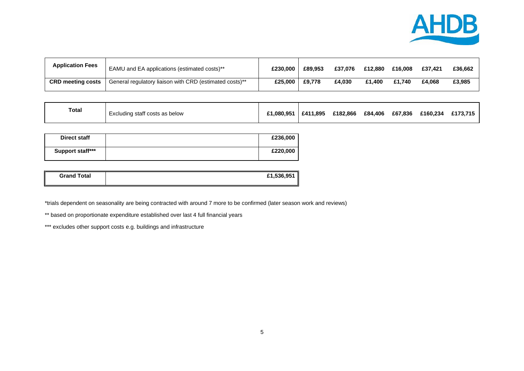

| <b>Application Fees</b>  | EAMU and EA applications (estimated costs)**            | £230.000 | £89.953 | £37.076 | £12,880 | £16,008 | £37.421 | £36.662 |
|--------------------------|---------------------------------------------------------|----------|---------|---------|---------|---------|---------|---------|
| <b>CRD meeting costs</b> | General regulatory liaison with CRD (estimated costs)** | £25,000  | £9.778  | £4.030  | £1,400  | £1.740  | £4.068  | £3,985  |

| <b>Total</b><br>Excluding staff costs as below | £1.080.951 | £411.895 | £182.866 | £84,406 | £67,836 | £160.234 | £173.715 |
|------------------------------------------------|------------|----------|----------|---------|---------|----------|----------|
|------------------------------------------------|------------|----------|----------|---------|---------|----------|----------|

| <b>Direct staff</b> | £236,000 |
|---------------------|----------|
| Support staff***    | £220,000 |

| <b>Grand Total</b> | £1,536,951 |
|--------------------|------------|
|                    |            |

\*trials dependent on seasonality are being contracted with around 7 more to be confirmed (later season work and reviews)

\*\* based on proportionate expenditure established over last 4 full financial years

\*\*\* excludes other support costs e.g. buildings and infrastructure